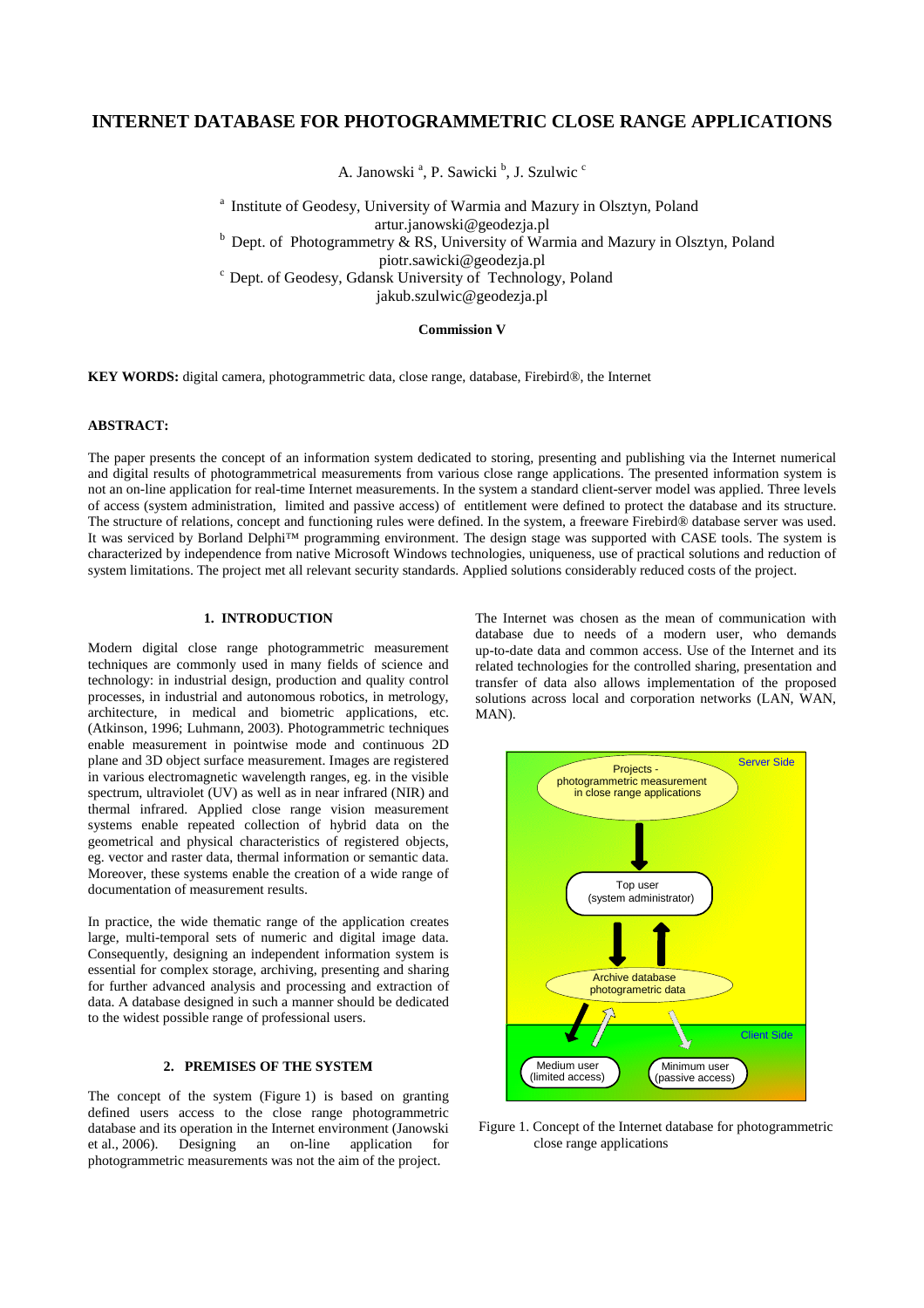# **INTERNET DATABASE FOR PHOTOGRAMMETRIC CLOSE RANGE APPLICATIONS**

A. Janowski<sup>a</sup>, P. Sawicki<sup>b</sup>, J. Szulwic<sup>c</sup>

<sup>a</sup> Institute of Geodesy, University of Warmia and Mazury in Olsztyn, Poland artur.janowski@geodezja.pl  $b$  Dept. of Photogrammetry & RS, University of Warmia and Mazury in Olsztyn, Poland piotr.sawicki@geodezja.pl <sup>c</sup> Dept. of Geodesy, Gdansk University of Technology, Poland jakub.szulwic@geodezja.pl

### **Commission V**

**KEY WORDS:** digital camera, photogrammetric data, close range, database, Firebird®, the Internet

#### **ABSTRACT:**

The paper presents the concept of an information system dedicated to storing, presenting and publishing via the Internet numerical and digital results of photogrammetrical measurements from various close range applications. The presented information system is not an on-line application for real-time Internet measurements. In the system a standard client-server model was applied. Three levels of access (system administration, limited and passive access) of entitlement were defined to protect the database and its structure. The structure of relations, concept and functioning rules were defined. In the system, a freeware Firebird® database server was used. It was serviced by Borland Delphi™ programming environment. The design stage was supported with CASE tools. The system is characterized by independence from native Microsoft Windows technologies, uniqueness, use of practical solutions and reduction of system limitations. The project met all relevant security standards. Applied solutions considerably reduced costs of the project.

### **1. INTRODUCTION**

Modern digital close range photogrammetric measurement techniques are commonly used in many fields of science and technology: in industrial design, production and quality control processes, in industrial and autonomous robotics, in metrology, architecture, in medical and biometric applications, etc. (Atkinson, 1996; Luhmann, 2003). Photogrammetric techniques enable measurement in pointwise mode and continuous 2D plane and 3D object surface measurement. Images are registered in various electromagnetic wavelength ranges, eg. in the visible spectrum, ultraviolet (UV) as well as in near infrared (NIR) and thermal infrared. Applied close range vision measurement systems enable repeated collection of hybrid data on the geometrical and physical characteristics of registered objects, eg. vector and raster data, thermal information or semantic data. Moreover, these systems enable the creation of a wide range of documentation of measurement results.

In practice, the wide thematic range of the application creates large, multi-temporal sets of numeric and digital image data. Consequently, designing an independent information system is essential for complex storage, archiving, presenting and sharing for further advanced analysis and processing and extraction of data. A database designed in such a manner should be dedicated to the widest possible range of professional users.

## **2. PREMISES OF THE SYSTEM**

The concept of the system (Figure 1) is based on granting defined users access to the close range photogrammetric database and its operation in the Internet environment (Janowski et al., 2006). Designing an on-line application for photogrammetric measurements was not the aim of the project.

The Internet was chosen as the mean of communication with database due to needs of a modern user, who demands up-to-date data and common access. Use of the Internet and its related technologies for the controlled sharing, presentation and transfer of data also allows implementation of the proposed solutions across local and corporation networks (LAN, WAN, MAN).



Figure 1. Concept of the Internet database for photogrammetric close range applications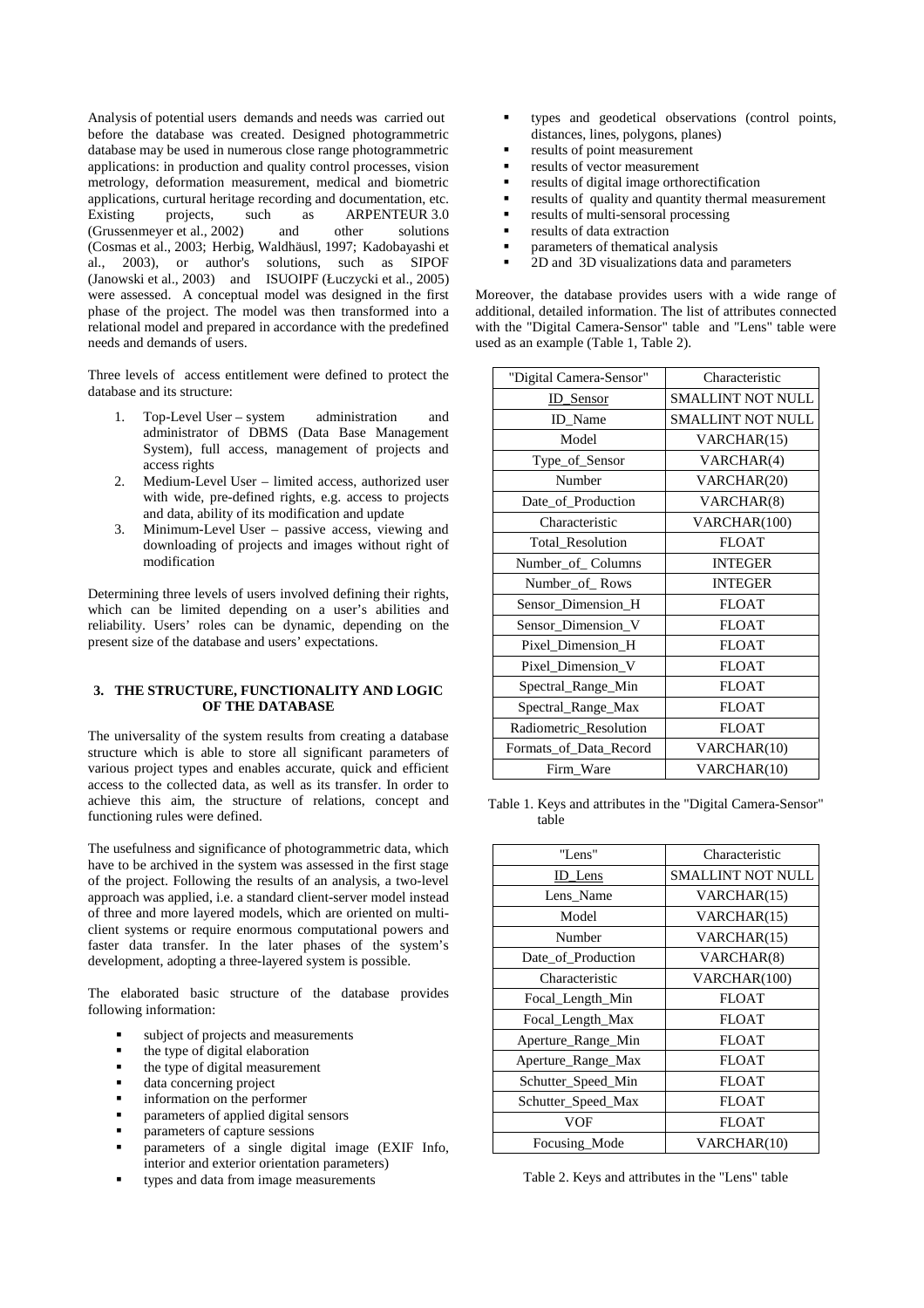Analysis of potential users demands and needs was carried out before the database was created. Designed photogrammetric database may be used in numerous close range photogrammetric applications: in production and quality control processes, vision metrology, deformation measurement, medical and biometric applications, curtural heritage recording and documentation, etc. projects, such as ARPENTEUR 3.0 (Grussenmeyer et al., 2002) and other solutions (Cosmas et al., 2003; Herbig, Waldhäusl, 1997; Kadobayashi et al., 2003), or author's solutions, such as SIPOF (Janowski et al., 2003) and ISUOIPF (Łuczycki et al., 2005) were assessed. A conceptual model was designed in the first phase of the project. The model was then transformed into a relational model and prepared in accordance with the predefined needs and demands of users.

Three levels of access entitlement were defined to protect the database and its structure:

- 1. Top-Level User system administration and administrator of DBMS (Data Base Management System), full access, management of projects and access rights
- 2. Medium-Level User limited access, authorized user with wide, pre-defined rights, e.g. access to projects and data, ability of its modification and update
- 3. Minimum-Level User passive access, viewing and downloading of projects and images without right of modification

Determining three levels of users involved defining their rights, which can be limited depending on a user's abilities and reliability. Users' roles can be dynamic, depending on the present size of the database and users' expectations.

### **3. THE STRUCTURE, FUNCTIONALITY AND LOGIC OF THE DATABASE**

The universality of the system results from creating a database structure which is able to store all significant parameters of various project types and enables accurate, quick and efficient access to the collected data, as well as its transfer. In order to achieve this aim, the structure of relations, concept and functioning rules were defined.

The usefulness and significance of photogrammetric data, which have to be archived in the system was assessed in the first stage of the project. Following the results of an analysis, a two-level approach was applied, i.e. a standard client-server model instead of three and more layered models, which are oriented on multiclient systems or require enormous computational powers and faster data transfer. In the later phases of the system's development, adopting a three-layered system is possible.

The elaborated basic structure of the database provides following information:

- subject of projects and measurements
- the type of digital elaboration
- the type of digital measurement
- data concerning project
- information on the performer
- parameters of applied digital sensors
- parameters of capture sessions
- parameters of a single digital image (EXIF Info, interior and exterior orientation parameters)
- types and data from image measurements
- types and geodetical observations (control points, distances, lines, polygons, planes)
- results of point measurement
- results of vector measurement
- results of digital image orthorectification
- results of quality and quantity thermal measurement
- results of multi-sensoral processing
- results of data extraction
- parameters of thematical analysis
- 2D and 3D visualizations data and parameters

Moreover, the database provides users with a wide range of additional, detailed information. The list of attributes connected with the "Digital Camera-Sensor" table and "Lens" table were used as an example (Table 1, Table 2).

| "Digital Camera-Sensor" | Characteristic           |
|-------------------------|--------------------------|
| ID_Sensor               | <b>SMALLINT NOT NULL</b> |
| ID_Name                 | <b>SMALLINT NOT NULL</b> |
| Model                   | VARCHAR(15)              |
| Type_of_Sensor          | VARCHAR(4)               |
| Number                  | VARCHAR(20)              |
| Date_of_Production      | VARCHAR(8)               |
| Characteristic          | VARCHAR(100)             |
| <b>Total Resolution</b> | <b>FLOAT</b>             |
| Number_of_Columns       | <b>INTEGER</b>           |
| Number of Rows          | <b>INTEGER</b>           |
| Sensor_Dimension_H      | <b>FLOAT</b>             |
| Sensor_Dimension_V      | <b>FLOAT</b>             |
| Pixel_Dimension_H       | <b>FLOAT</b>             |
| Pixel_Dimension_V       | <b>FLOAT</b>             |
| Spectral_Range_Min      | <b>FLOAT</b>             |
| Spectral_Range_Max      | <b>FLOAT</b>             |
| Radiometric_Resolution  | <b>FLOAT</b>             |
| Formats of Data Record  | VARCHAR(10)              |
| Firm Ware               | VARCHAR(10)              |

Table 1. Keys and attributes in the "Digital Camera-Sensor" table

| "Lens"             | Characteristic    |
|--------------------|-------------------|
| ID_Lens            | SMALLINT NOT NULL |
| Lens_Name          | VARCHAR(15)       |
| Model              | VARCHAR(15)       |
| Number             | VARCHAR(15)       |
| Date_of_Production | VARCHAR(8)        |
| Characteristic     | VARCHAR(100)      |
| Focal_Length_Min   | <b>FLOAT</b>      |
| Focal Length Max   | <b>FLOAT</b>      |
| Aperture_Range_Min | <b>FLOAT</b>      |
| Aperture Range Max | <b>FLOAT</b>      |
| Schutter_Speed_Min | <b>FLOAT</b>      |
| Schutter Speed Max | <b>FLOAT</b>      |
| VOF                | <b>FLOAT</b>      |
| Focusing Mode      | VARCHAR(10)       |

Table 2. Keys and attributes in the "Lens" table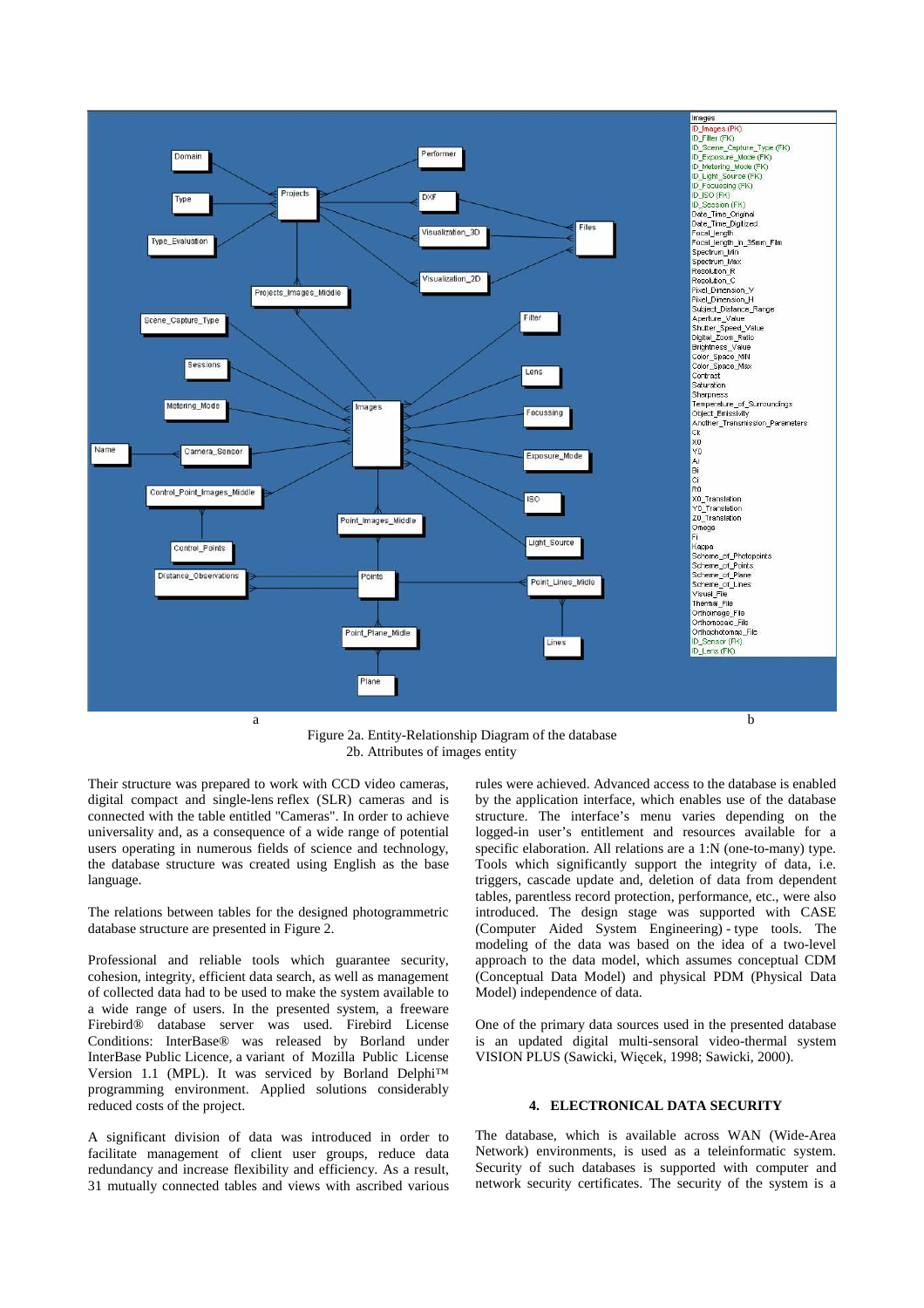

Figure 2a. Entity-Relationship Diagram of the database 2b. Attributes of images entity

Their structure was prepared to work with CCD video cameras, digital compact and single-lens reflex (SLR) cameras and is connected with the table entitled "Cameras". In order to achieve universality and, as a consequence of a wide range of potential users operating in numerous fields of science and technology, the database structure was created using English as the base language.

The relations between tables for the designed photogrammetric database structure are presented in Figure 2.

Professional and reliable tools which guarantee security, cohesion, integrity, efficient data search, as well as management of collected data had to be used to make the system available to a wide range of users. In the presented system, a freeware Firebird® database server was used. Firebird License Conditions: InterBase® was released by Borland under InterBase Public Licence, a variant of Mozilla Public License Version 1.1 (MPL). It was serviced by Borland Delphi™ programming environment. Applied solutions considerably reduced costs of the project.

A significant division of data was introduced in order to facilitate management of client user groups, reduce data redundancy and increase flexibility and efficiency. As a result, 31 mutually connected tables and views with ascribed various

rules were achieved. Advanced access to the database is enabled by the application interface, which enables use of the database structure. The interface's menu varies depending on the logged-in user's entitlement and resources available for a specific elaboration. All relations are a 1:N (one-to-many) type. Tools which significantly support the integrity of data, i.e. triggers, cascade update and, deletion of data from dependent tables, parentless record protection, performance, etc., were also introduced. The design stage was supported with CASE (Computer Aided System Engineering) - type tools. The modeling of the data was based on the idea of a two-level approach to the data model, which assumes conceptual CDM (Conceptual Data Model) and physical PDM (Physical Data Model) independence of data.

One of the primary data sources used in the presented database is an updated digital multi-sensoral video-thermal system VISION PLUS (Sawicki, Więcek, 1998; Sawicki, 2000).

## **4. ELECTRONICAL DATA SECURITY**

The database, which is available across WAN (Wide-Area Network) environments, is used as a teleinformatic system. Security of such databases is supported with computer and network security certificates. The security of the system is a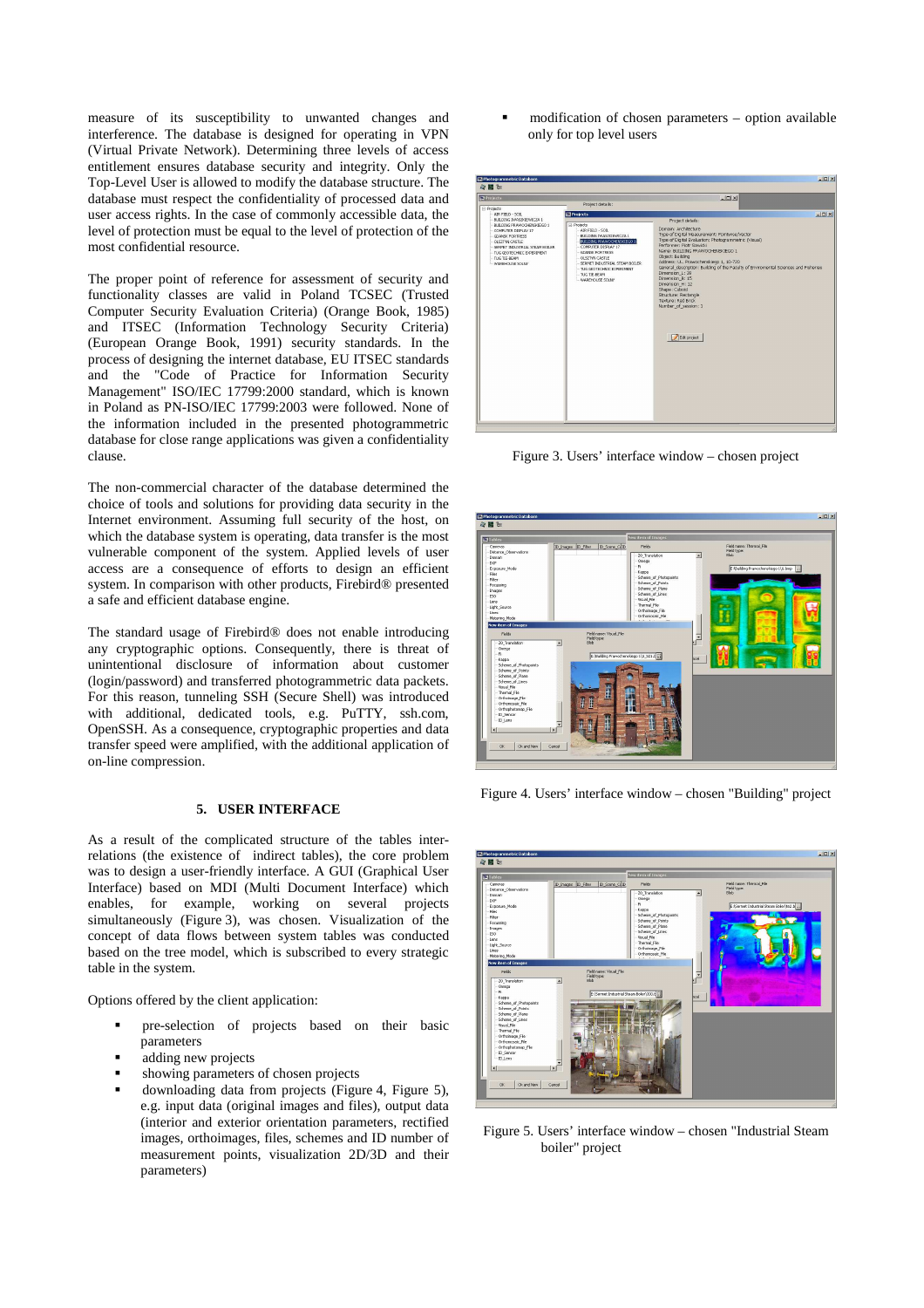measure of its susceptibility to unwanted changes and interference. The database is designed for operating in VPN (Virtual Private Network). Determining three levels of access entitlement ensures database security and integrity. Only the Top-Level User is allowed to modify the database structure. The database must respect the confidentiality of processed data and user access rights. In the case of commonly accessible data, the level of protection must be equal to the level of protection of the most confidential resource.

The proper point of reference for assessment of security and functionality classes are valid in Poland TCSEC (Trusted Computer Security Evaluation Criteria) (Orange Book, 1985) and ITSEC (Information Technology Security Criteria) (European Orange Book, 1991) security standards. In the process of designing the internet database, EU ITSEC standards and the "Code of Practice for Information Security Management" ISO/IEC 17799:2000 standard, which is known in Poland as PN-ISO/IEC 17799:2003 were followed. None of the information included in the presented photogrammetric database for close range applications was given a confidentiality clause.

The non-commercial character of the database determined the choice of tools and solutions for providing data security in the Internet environment. Assuming full security of the host, on which the database system is operating, data transfer is the most vulnerable component of the system. Applied levels of user access are a consequence of efforts to design an efficient system. In comparison with other products, Firebird® presented a safe and efficient database engine.

The standard usage of Firebird® does not enable introducing any cryptographic options. Consequently, there is threat of unintentional disclosure of information about customer (login/password) and transferred photogrammetric data packets. For this reason, tunneling SSH (Secure Shell) was introduced with additional, dedicated tools, e.g. PuTTY, ssh.com, OpenSSH. As a consequence, cryptographic properties and data transfer speed were amplified, with the additional application of on-line compression.

#### **5. USER INTERFACE**

As a result of the complicated structure of the tables interrelations (the existence of indirect tables), the core problem was to design a user-friendly interface. A GUI (Graphical User Interface) based on MDI (Multi Document Interface) which enables, for example, working on several projects simultaneously (Figure 3), was chosen. Visualization of the concept of data flows between system tables was conducted based on the tree model, which is subscribed to every strategic table in the system.

Options offered by the client application:

- pre-selection of projects based on their basic parameters
- adding new projects
- showing parameters of chosen projects
- downloading data from projects (Figure 4, Figure 5), e.g. input data (original images and files), output data (interior and exterior orientation parameters, rectified images, orthoimages, files, schemes and ID number of measurement points, visualization 2D/3D and their parameters)

 modification of chosen parameters – option available only for top level users



Figure 3. Users' interface window – chosen project



Figure 4. Users' interface window – chosen "Building" project



Figure 5. Users' interface window – chosen "Industrial Steam boiler" project